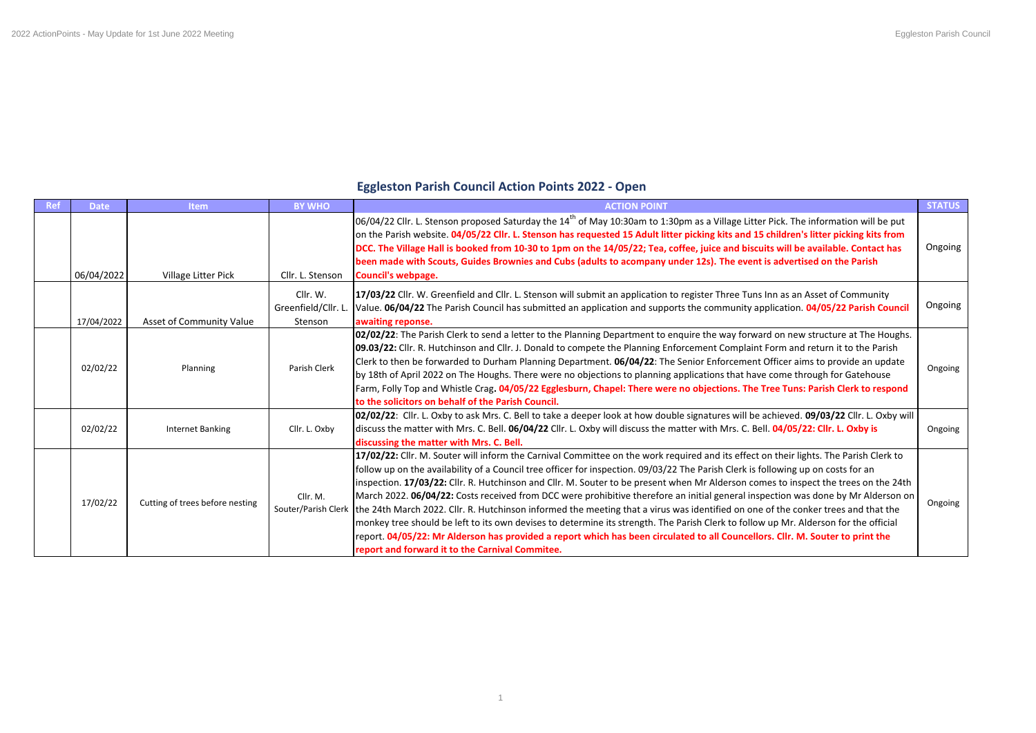## **Eggleston Parish Council Action Points 2022 - Open**

| Ref | <b>Date</b> | <b>Item</b>                     | <b>BY WHO</b>                              | <b>ACTION POINT</b>                                                                                                                                                                                                                                                                                                                                                                                                                                                                                                                                                                                                                                                                                                                                                                                                                                                                                                                                                                                                      | <b>STATUS</b> |
|-----|-------------|---------------------------------|--------------------------------------------|--------------------------------------------------------------------------------------------------------------------------------------------------------------------------------------------------------------------------------------------------------------------------------------------------------------------------------------------------------------------------------------------------------------------------------------------------------------------------------------------------------------------------------------------------------------------------------------------------------------------------------------------------------------------------------------------------------------------------------------------------------------------------------------------------------------------------------------------------------------------------------------------------------------------------------------------------------------------------------------------------------------------------|---------------|
|     | 06/04/2022  | Village Litter Pick             | Cllr. L. Stenson                           | 06/04/22 Cllr. L. Stenson proposed Saturday the 14 <sup>th</sup> of May 10:30am to 1:30pm as a Village Litter Pick. The information will be put<br>on the Parish website. 04/05/22 Cllr. L. Stenson has requested 15 Adult litter picking kits and 15 children's litter picking kits from<br>DCC. The Village Hall is booked from 10-30 to 1pm on the 14/05/22; Tea, coffee, juice and biscuits will be available. Contact has<br>been made with Scouts, Guides Brownies and Cubs (adults to acompany under 12s). The event is advertised on the Parish<br><b>Council's webpage.</b>                                                                                                                                                                                                                                                                                                                                                                                                                                     | Ongoing       |
|     | 17/04/2022  | Asset of Community Value        | Cllr. W.<br>Greenfield/Cllr. L.<br>Stenson | 17/03/22 Cllr. W. Greenfield and Cllr. L. Stenson will submit an application to register Three Tuns Inn as an Asset of Community<br>Value. 06/04/22 The Parish Council has submitted an application and supports the community application. 04/05/22 Parish Council<br>awaiting reponse.                                                                                                                                                                                                                                                                                                                                                                                                                                                                                                                                                                                                                                                                                                                                 | Ongoing       |
|     | 02/02/22    | Planning                        | Parish Clerk                               | 02/02/22: The Parish Clerk to send a letter to the Planning Department to enquire the way forward on new structure at The Houghs.<br>09.03/22: Cllr. R. Hutchinson and Cllr. J. Donald to compete the Planning Enforcement Complaint Form and return it to the Parish<br>Clerk to then be forwarded to Durham Planning Department. 06/04/22: The Senior Enforcement Officer aims to provide an update<br>by 18th of April 2022 on The Houghs. There were no objections to planning applications that have come through for Gatehouse<br>Farm, Folly Top and Whistle Crag. 04/05/22 Egglesburn, Chapel: There were no objections. The Tree Tuns: Parish Clerk to respond<br>to the solicitors on behalf of the Parish Council.                                                                                                                                                                                                                                                                                            | Ongoing       |
|     | 02/02/22    | Internet Banking                | Cllr. L. Oxby                              | 02/02/22: Cllr. L. Oxby to ask Mrs. C. Bell to take a deeper look at how double signatures will be achieved. 09/03/22 Cllr. L. Oxby will<br>discuss the matter with Mrs. C. Bell. 06/04/22 Cllr. L. Oxby will discuss the matter with Mrs. C. Bell. 04/05/22: Cllr. L. Oxby is<br>discussing the matter with Mrs. C. Bell.                                                                                                                                                                                                                                                                                                                                                                                                                                                                                                                                                                                                                                                                                               | Ongoing       |
|     | 17/02/22    | Cutting of trees before nesting | Cllr. M.<br>Souter/Parish Clerk            | 17/02/22: Cllr. M. Souter will inform the Carnival Committee on the work required and its effect on their lights. The Parish Clerk to<br>follow up on the availability of a Council tree officer for inspection. 09/03/22 The Parish Clerk is following up on costs for an<br>inspection. 17/03/22: Cllr. R. Hutchinson and Cllr. M. Souter to be present when Mr Alderson comes to inspect the trees on the 24th<br>March 2022. 06/04/22: Costs received from DCC were prohibitive therefore an initial general inspection was done by Mr Alderson on<br>the 24th March 2022. Cllr. R. Hutchinson informed the meeting that a virus was identified on one of the conker trees and that the<br>monkey tree should be left to its own devises to determine its strength. The Parish Clerk to follow up Mr. Alderson for the official<br>report. 04/05/22: Mr Alderson has provided a report which has been circulated to all Councellors. Cllr. M. Souter to print the<br>report and forward it to the Carnival Commitee. | Ongoing       |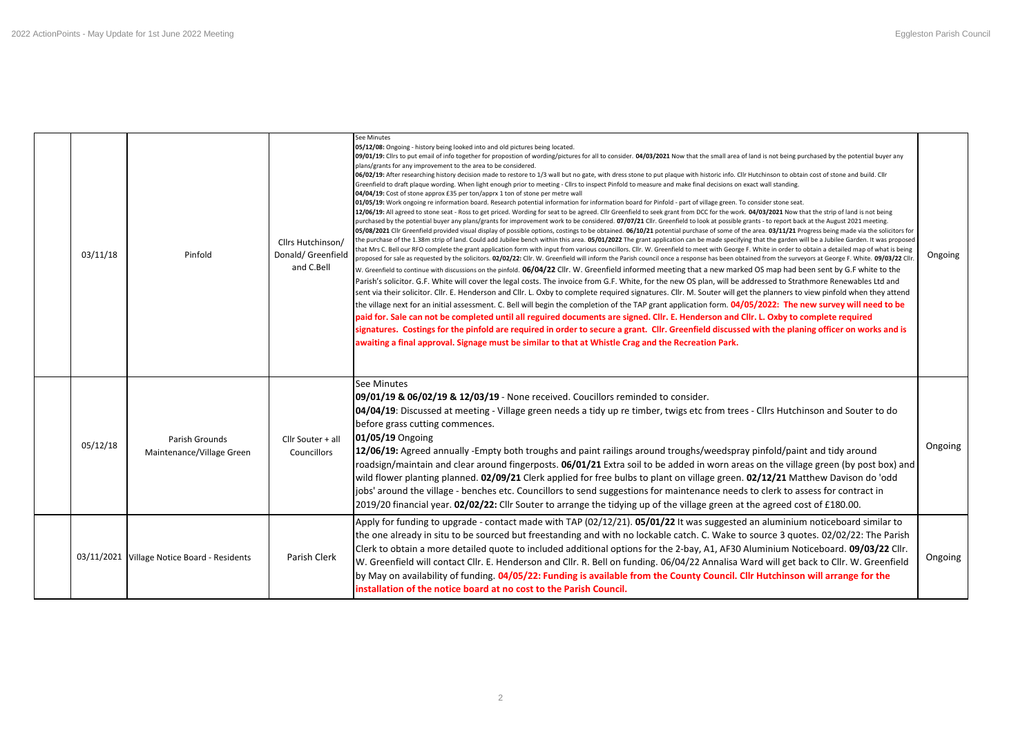| 03/11/18 | Pinfold                                     | Cllrs Hutchinson/<br>Donald/ Greenfield<br>and C.Bell | See Minutes<br>05/12/08: Ongoing - history being looked into and old pictures being located.<br>09/01/19: Cllrs to put email of info together for propostion of wording/pictures for all to consider. 04/03/2021 Now that the small area of land is not being purchased by the potential buyer any<br>plans/grants for any improvement to the area to be considered.<br>06/02/19: After researching history decision made to restore to 1/3 wall but no gate, with dress stone to put plaque with historic info. Cllr Hutchinson to obtain cost of stone and build. Cllr<br>Greenfield to draft plaque wording. When light enough prior to meeting - Cllrs to inspect Pinfold to measure and make final decisions on exact wall standing.<br>04/04/19: Cost of stone approx £35 per ton/apprx 1 ton of stone per metre wall<br>01/05/19: Work ongoing re information board. Research potential information for information board for Pinfold - part of village green. To consider stone seat.<br>12/06/19: All agreed to stone seat - Ross to get priced. Wording for seat to be agreed. Cllr Greenfield to seek grant from DCC for the work. 04/03/2021 Now that the strip of land is not being<br>purchased by the potential buyer any plans/grants for improvement work to be considered. 07/07/21 Cllr. Greenfield to look at possible grants - to report back at the August 2021 meeting.<br>05/08/2021 Cllr Greenfield provided visual display of possible options, costings to be obtained. 06/10/21 potential purchase of some of the area. 03/11/21 Progress being made via the solicitors for<br>the purchase of the 1.38m strip of land. Could add Jubilee bench within this area. 05/01/2022 The grant application can be made specifying that the garden will be a Jubilee Garden. It was proposed<br>that Mrs C. Bell our RFO complete the grant application form with input from various councillors. Cllr. W. Greenfield to meet with George F. White in order to obtain a detailed map of what is being<br>proposed for sale as requested by the solicitors. 02/02/22: Cllr. W. Greenfield will inform the Parish council once a response has been obtained from the surveyors at George F. White. 09/03/22 Cllr<br>W. Greenfield to continue with discussions on the pinfold. 06/04/22 Cllr. W. Greenfield informed meeting that a new marked OS map had been sent by G.F white to the<br>Parish's solicitor. G.F. White will cover the legal costs. The invoice from G.F. White, for the new OS plan, will be addressed to Strathmore Renewables Ltd and<br>sent via their solicitor. Cllr. E. Henderson and Cllr. L. Oxby to complete required signatures. Cllr. M. Souter will get the planners to view pinfold when they attend<br>the village next for an initial assessment. C. Bell will begin the completion of the TAP grant application form. 04/05/2022: The new survey will need to be<br>paid for. Sale can not be completed until all reguired documents are signed. Cllr. E. Henderson and Cllr. L. Oxby to complete required<br>signatures. Costings for the pinfold are required in order to secure a grant. Cllr. Greenfield discussed with the planing officer on works and is<br>awaiting a final approval. Signage must be similar to that at Whistle Crag and the Recreation Park. | Ongoing |
|----------|---------------------------------------------|-------------------------------------------------------|----------------------------------------------------------------------------------------------------------------------------------------------------------------------------------------------------------------------------------------------------------------------------------------------------------------------------------------------------------------------------------------------------------------------------------------------------------------------------------------------------------------------------------------------------------------------------------------------------------------------------------------------------------------------------------------------------------------------------------------------------------------------------------------------------------------------------------------------------------------------------------------------------------------------------------------------------------------------------------------------------------------------------------------------------------------------------------------------------------------------------------------------------------------------------------------------------------------------------------------------------------------------------------------------------------------------------------------------------------------------------------------------------------------------------------------------------------------------------------------------------------------------------------------------------------------------------------------------------------------------------------------------------------------------------------------------------------------------------------------------------------------------------------------------------------------------------------------------------------------------------------------------------------------------------------------------------------------------------------------------------------------------------------------------------------------------------------------------------------------------------------------------------------------------------------------------------------------------------------------------------------------------------------------------------------------------------------------------------------------------------------------------------------------------------------------------------------------------------------------------------------------------------------------------------------------------------------------------------------------------------------------------------------------------------------------------------------------------------------------------------------------------------------------------------------------------------------------------------------------------------------------------------------------------------------------------------------------------------------------------------------------------------------------------------------------------------------------------------------------------------------------------------------------------------------------------------------------------------------------------------------------------------------------------------------------------------|---------|
| 05/12/18 | Parish Grounds<br>Maintenance/Village Green | Cllr Souter + all<br>Councillors                      | See Minutes<br>09/01/19 & 06/02/19 & 12/03/19 - None received. Coucillors reminded to consider.<br>04/04/19: Discussed at meeting - Village green needs a tidy up re timber, twigs etc from trees - Cllrs Hutchinson and Souter to do<br>before grass cutting commences.<br>01/05/19 Ongoing<br>12/06/19: Agreed annually -Empty both troughs and paint railings around troughs/weedspray pinfold/paint and tidy around<br>roadsign/maintain and clear around fingerposts. 06/01/21 Extra soil to be added in worn areas on the village green (by post box) and<br>wild flower planting planned. 02/09/21 Clerk applied for free bulbs to plant on village green. 02/12/21 Matthew Davison do 'odd<br>jobs' around the village - benches etc. Councillors to send suggestions for maintenance needs to clerk to assess for contract in<br>2019/20 financial year. 02/02/22: Cllr Souter to arrange the tidying up of the village green at the agreed cost of £180.00.                                                                                                                                                                                                                                                                                                                                                                                                                                                                                                                                                                                                                                                                                                                                                                                                                                                                                                                                                                                                                                                                                                                                                                                                                                                                                                                                                                                                                                                                                                                                                                                                                                                                                                                                                                                                                                                                                                                                                                                                                                                                                                                                                                                                                                                                                                                                                      | Ongoing |
|          | 03/11/2021 Village Notice Board - Residents | Parish Clerk                                          | Apply for funding to upgrade - contact made with TAP (02/12/21). 05/01/22 It was suggested an aluminium noticeboard similar to<br>the one already in situ to be sourced but freestanding and with no lockable catch. C. Wake to source 3 quotes. 02/02/22: The Parish<br>Clerk to obtain a more detailed quote to included additional options for the 2-bay, A1, AF30 Aluminium Noticeboard. 09/03/22 Cllr.<br>W. Greenfield will contact Cllr. E. Henderson and Cllr. R. Bell on funding. 06/04/22 Annalisa Ward will get back to Cllr. W. Greenfield<br>by May on availability of funding. 04/05/22: Funding is available from the County Council. Cllr Hutchinson will arrange for the<br>installation of the notice board at no cost to the Parish Council.                                                                                                                                                                                                                                                                                                                                                                                                                                                                                                                                                                                                                                                                                                                                                                                                                                                                                                                                                                                                                                                                                                                                                                                                                                                                                                                                                                                                                                                                                                                                                                                                                                                                                                                                                                                                                                                                                                                                                                                                                                                                                                                                                                                                                                                                                                                                                                                                                                                                                                                                                            | Ongoing |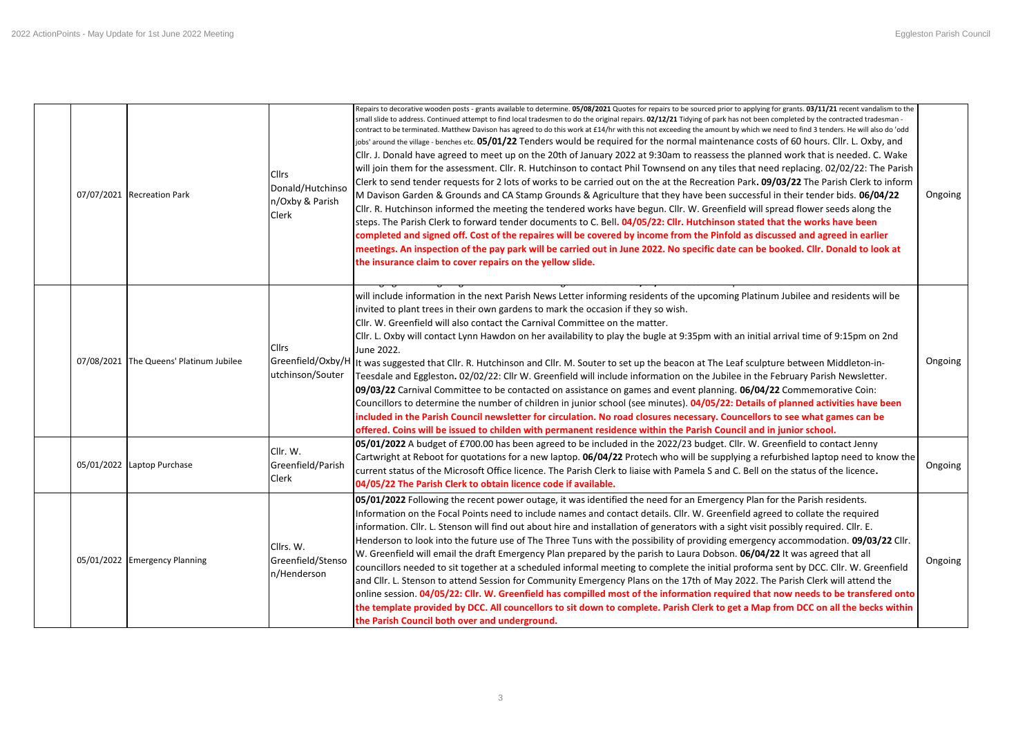|  | 07/07/2021 Recreation Park              | <b>Cllrs</b><br>Donald/Hutchinso<br>n/Oxby & Parish<br>Clerk | Repairs to decorative wooden posts - grants available to determine. 05/08/2021 Quotes for repairs to be sourced prior to applying for grants. 03/11/21 recent vandalism to the<br>small slide to address. Continued attempt to find local tradesmen to do the original repairs. 02/12/21 Tidying of park has not been completed by the contracted tradesman -<br>contract to be terminated. Matthew Davison has agreed to do this work at £14/hr with this not exceeding the amount by which we need to find 3 tenders. He will also do 'odd<br>jobs' around the village - benches etc. 05/01/22 Tenders would be required for the normal maintenance costs of 60 hours. Cllr. L. Oxby, and<br>Cllr. J. Donald have agreed to meet up on the 20th of January 2022 at 9:30am to reassess the planned work that is needed. C. Wake<br>will join them for the assessment. Cllr. R. Hutchinson to contact Phil Townsend on any tiles that need replacing. 02/02/22: The Parish<br>Clerk to send tender requests for 2 lots of works to be carried out on the at the Recreation Park. 09/03/22 The Parish Clerk to inform<br>M Davison Garden & Grounds and CA Stamp Grounds & Agriculture that they have been successful in their tender bids. 06/04/22<br>Cllr. R. Hutchinson informed the meeting the tendered works have begun. Cllr. W. Greenfield will spread flower seeds along the<br>steps. The Parish Clerk to forward tender documents to C. Bell. 04/05/22: Cllr. Hutchinson stated that the works have been<br>completed and signed off. Cost of the repaires will be covered by income from the Pinfold as discussed and agreed in earlier<br>meetings. An inspection of the pay park will be carried out in June 2022. No specific date can be booked. Cllr. Donald to look at<br>the insurance claim to cover repairs on the yellow slide. | Ongoing |
|--|-----------------------------------------|--------------------------------------------------------------|-------------------------------------------------------------------------------------------------------------------------------------------------------------------------------------------------------------------------------------------------------------------------------------------------------------------------------------------------------------------------------------------------------------------------------------------------------------------------------------------------------------------------------------------------------------------------------------------------------------------------------------------------------------------------------------------------------------------------------------------------------------------------------------------------------------------------------------------------------------------------------------------------------------------------------------------------------------------------------------------------------------------------------------------------------------------------------------------------------------------------------------------------------------------------------------------------------------------------------------------------------------------------------------------------------------------------------------------------------------------------------------------------------------------------------------------------------------------------------------------------------------------------------------------------------------------------------------------------------------------------------------------------------------------------------------------------------------------------------------------------------------------------------------------------------------------------------------------------------|---------|
|  | 07/08/2021 The Queens' Platinum Jubilee | Cllrs<br>Greenfield/Oxby/H<br>utchinson/Souter               | will include information in the next Parish News Letter informing residents of the upcoming Platinum Jubilee and residents will be<br>invited to plant trees in their own gardens to mark the occasion if they so wish.<br>Cllr. W. Greenfield will also contact the Carnival Committee on the matter.<br>Cllr. L. Oxby will contact Lynn Hawdon on her availability to play the bugle at 9:35pm with an initial arrival time of 9:15pm on 2nd<br>June 2022.<br>It was suggested that Cllr. R. Hutchinson and Cllr. M. Souter to set up the beacon at The Leaf sculpture between Middleton-in-<br>Teesdale and Eggleston. 02/02/22: Cllr W. Greenfield will include information on the Jubilee in the February Parish Newsletter.<br>09/03/22 Carnival Committee to be contacted on assistance on games and event planning. 06/04/22 Commemorative Coin:<br>Councillors to determine the number of children in junior school (see minutes). 04/05/22: Details of planned activities have been<br>included in the Parish Council newsletter for circulation. No road closures necessary. Councellors to see what games can be<br>offered. Coins will be issued to childen with permanent residence within the Parish Council and in junior school.                                                                                                                                                                                                                                                                                                                                                                                                                                                                                                                                                                                                     | Ongoing |
|  | 05/01/2022 Laptop Purchase              | Cllr. W.<br>Greenfield/Parish<br>Clerk                       | 05/01/2022 A budget of £700.00 has been agreed to be included in the 2022/23 budget. Cllr. W. Greenfield to contact Jenny<br>Cartwright at Reboot for quotations for a new laptop. 06/04/22 Protech who will be supplying a refurbished laptop need to know the<br>current status of the Microsoft Office licence. The Parish Clerk to liaise with Pamela S and C. Bell on the status of the licence.<br>04/05/22 The Parish Clerk to obtain licence code if available.                                                                                                                                                                                                                                                                                                                                                                                                                                                                                                                                                                                                                                                                                                                                                                                                                                                                                                                                                                                                                                                                                                                                                                                                                                                                                                                                                                               | Ongoing |
|  | 05/01/2022 Emergency Planning           | Cllrs. W.<br>Greenfield/Stenso<br>n/Henderson                | 05/01/2022 Following the recent power outage, it was identified the need for an Emergency Plan for the Parish residents.<br>Information on the Focal Points need to include names and contact details. Cllr. W. Greenfield agreed to collate the required<br>information. Cllr. L. Stenson will find out about hire and installation of generators with a sight visit possibly required. Cllr. E.<br>Henderson to look into the future use of The Three Tuns with the possibility of providing emergency accommodation. 09/03/22 Cllr.<br>W. Greenfield will email the draft Emergency Plan prepared by the parish to Laura Dobson. 06/04/22 It was agreed that all<br>councillors needed to sit together at a scheduled informal meeting to complete the initial proforma sent by DCC. Cllr. W. Greenfield<br>and Cllr. L. Stenson to attend Session for Community Emergency Plans on the 17th of May 2022. The Parish Clerk will attend the<br>online session. 04/05/22: Cllr. W. Greenfield has compilled most of the information required that now needs to be transfered onto<br>the template provided by DCC. All councellors to sit down to complete. Parish Clerk to get a Map from DCC on all the becks within<br>the Parish Council both over and underground.                                                                                                                                                                                                                                                                                                                                                                                                                                                                                                                                                                              | Ongoing |